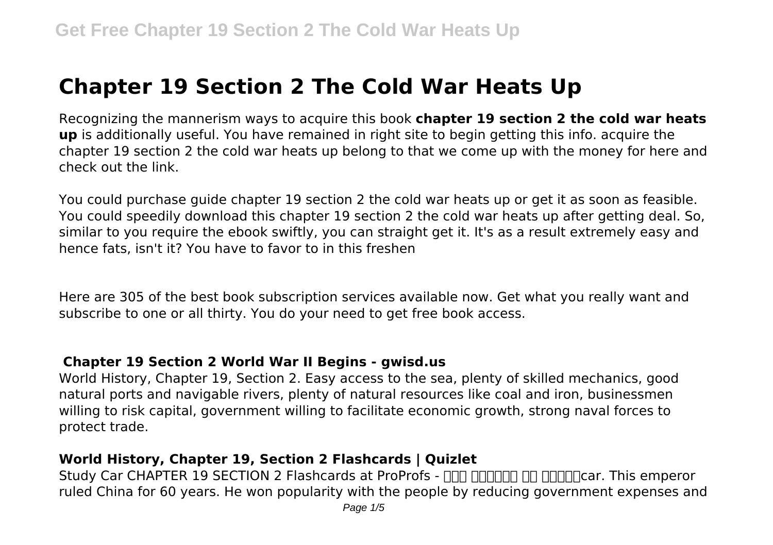# **Chapter 19 Section 2 The Cold War Heats Up**

Recognizing the mannerism ways to acquire this book **chapter 19 section 2 the cold war heats up** is additionally useful. You have remained in right site to begin getting this info. acquire the chapter 19 section 2 the cold war heats up belong to that we come up with the money for here and check out the link.

You could purchase guide chapter 19 section 2 the cold war heats up or get it as soon as feasible. You could speedily download this chapter 19 section 2 the cold war heats up after getting deal. So, similar to you require the ebook swiftly, you can straight get it. It's as a result extremely easy and hence fats, isn't it? You have to favor to in this freshen

Here are 305 of the best book subscription services available now. Get what you really want and subscribe to one or all thirty. You do your need to get free book access.

#### **Chapter 19 Section 2 World War II Begins - gwisd.us**

World History, Chapter 19, Section 2. Easy access to the sea, plenty of skilled mechanics, good natural ports and navigable rivers, plenty of natural resources like coal and iron, businessmen willing to risk capital, government willing to facilitate economic growth, strong naval forces to protect trade.

#### **World History, Chapter 19, Section 2 Flashcards | Quizlet**

Study Car CHAPTER 19 SECTION 2 Flashcards at ProProfs - **AND BELION ON DEAL PROPROT** ruled China for 60 years. He won popularity with the people by reducing government expenses and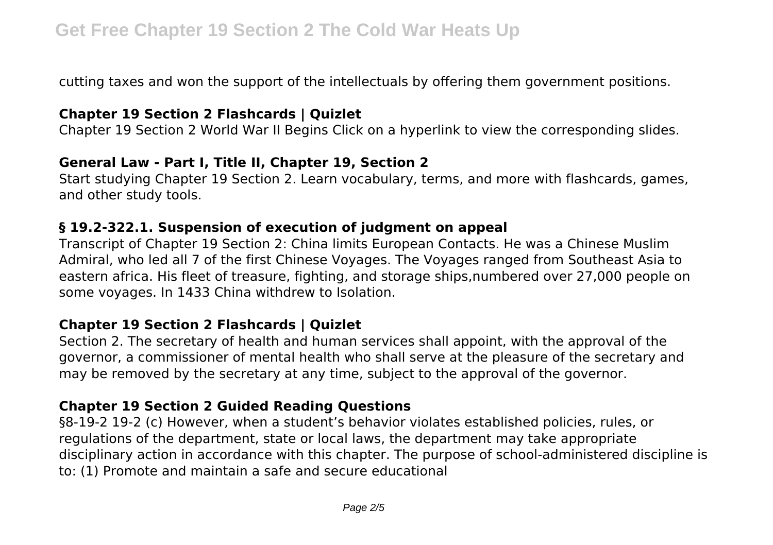cutting taxes and won the support of the intellectuals by offering them government positions.

#### **Chapter 19 Section 2 Flashcards | Quizlet**

Chapter 19 Section 2 World War II Begins Click on a hyperlink to view the corresponding slides.

#### **General Law - Part I, Title II, Chapter 19, Section 2**

Start studying Chapter 19 Section 2. Learn vocabulary, terms, and more with flashcards, games, and other study tools.

#### **§ 19.2-322.1. Suspension of execution of judgment on appeal**

Transcript of Chapter 19 Section 2: China limits European Contacts. He was a Chinese Muslim Admiral, who led all 7 of the first Chinese Voyages. The Voyages ranged from Southeast Asia to eastern africa. His fleet of treasure, fighting, and storage ships,numbered over 27,000 people on some voyages. In 1433 China withdrew to Isolation.

# **Chapter 19 Section 2 Flashcards | Quizlet**

Section 2. The secretary of health and human services shall appoint, with the approval of the governor, a commissioner of mental health who shall serve at the pleasure of the secretary and may be removed by the secretary at any time, subject to the approval of the governor.

# **Chapter 19 Section 2 Guided Reading Questions**

§8-19-2 19-2 (c) However, when a student's behavior violates established policies, rules, or regulations of the department, state or local laws, the department may take appropriate disciplinary action in accordance with this chapter. The purpose of school-administered discipline is to: (1) Promote and maintain a safe and secure educational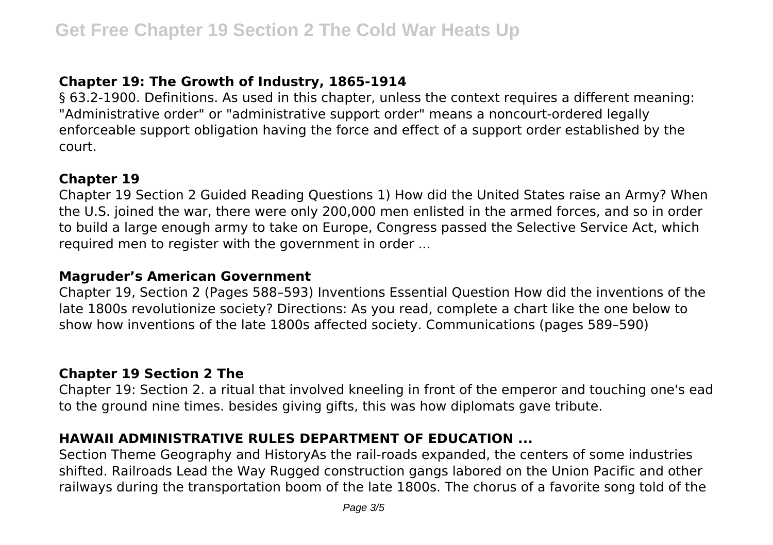# **Chapter 19: The Growth of Industry, 1865-1914**

§ 63.2-1900. Definitions. As used in this chapter, unless the context requires a different meaning: "Administrative order" or "administrative support order" means a noncourt-ordered legally enforceable support obligation having the force and effect of a support order established by the court.

#### **Chapter 19**

Chapter 19 Section 2 Guided Reading Questions 1) How did the United States raise an Army? When the U.S. joined the war, there were only 200,000 men enlisted in the armed forces, and so in order to build a large enough army to take on Europe, Congress passed the Selective Service Act, which required men to register with the government in order ...

### **Magruder's American Government**

Chapter 19, Section 2 (Pages 588–593) Inventions Essential Question How did the inventions of the late 1800s revolutionize society? Directions: As you read, complete a chart like the one below to show how inventions of the late 1800s affected society. Communications (pages 589–590)

# **Chapter 19 Section 2 The**

Chapter 19: Section 2. a ritual that involved kneeling in front of the emperor and touching one's ead to the ground nine times. besides giving gifts, this was how diplomats gave tribute.

# **HAWAII ADMINISTRATIVE RULES DEPARTMENT OF EDUCATION ...**

Section Theme Geography and HistoryAs the rail-roads expanded, the centers of some industries shifted. Railroads Lead the Way Rugged construction gangs labored on the Union Pacific and other railways during the transportation boom of the late 1800s. The chorus of a favorite song told of the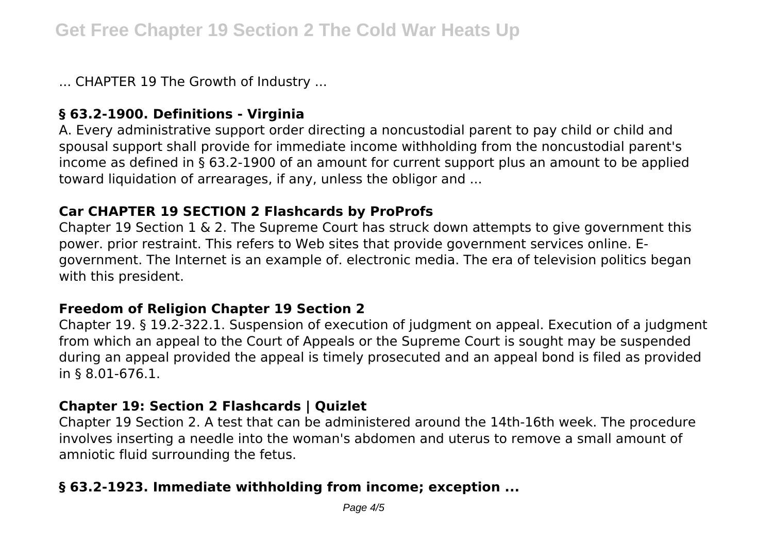... CHAPTER 19 The Growth of Industry ...

### **§ 63.2-1900. Definitions - Virginia**

A. Every administrative support order directing a noncustodial parent to pay child or child and spousal support shall provide for immediate income withholding from the noncustodial parent's income as defined in § 63.2-1900 of an amount for current support plus an amount to be applied toward liquidation of arrearages, if any, unless the obligor and ...

#### **Car CHAPTER 19 SECTION 2 Flashcards by ProProfs**

Chapter 19 Section 1 & 2. The Supreme Court has struck down attempts to give government this power. prior restraint. This refers to Web sites that provide government services online. Egovernment. The Internet is an example of. electronic media. The era of television politics began with this president.

#### **Freedom of Religion Chapter 19 Section 2**

Chapter 19. § 19.2-322.1. Suspension of execution of judgment on appeal. Execution of a judgment from which an appeal to the Court of Appeals or the Supreme Court is sought may be suspended during an appeal provided the appeal is timely prosecuted and an appeal bond is filed as provided in § 8.01-676.1.

#### **Chapter 19: Section 2 Flashcards | Quizlet**

Chapter 19 Section 2. A test that can be administered around the 14th-16th week. The procedure involves inserting a needle into the woman's abdomen and uterus to remove a small amount of amniotic fluid surrounding the fetus.

# **§ 63.2-1923. Immediate withholding from income; exception ...**